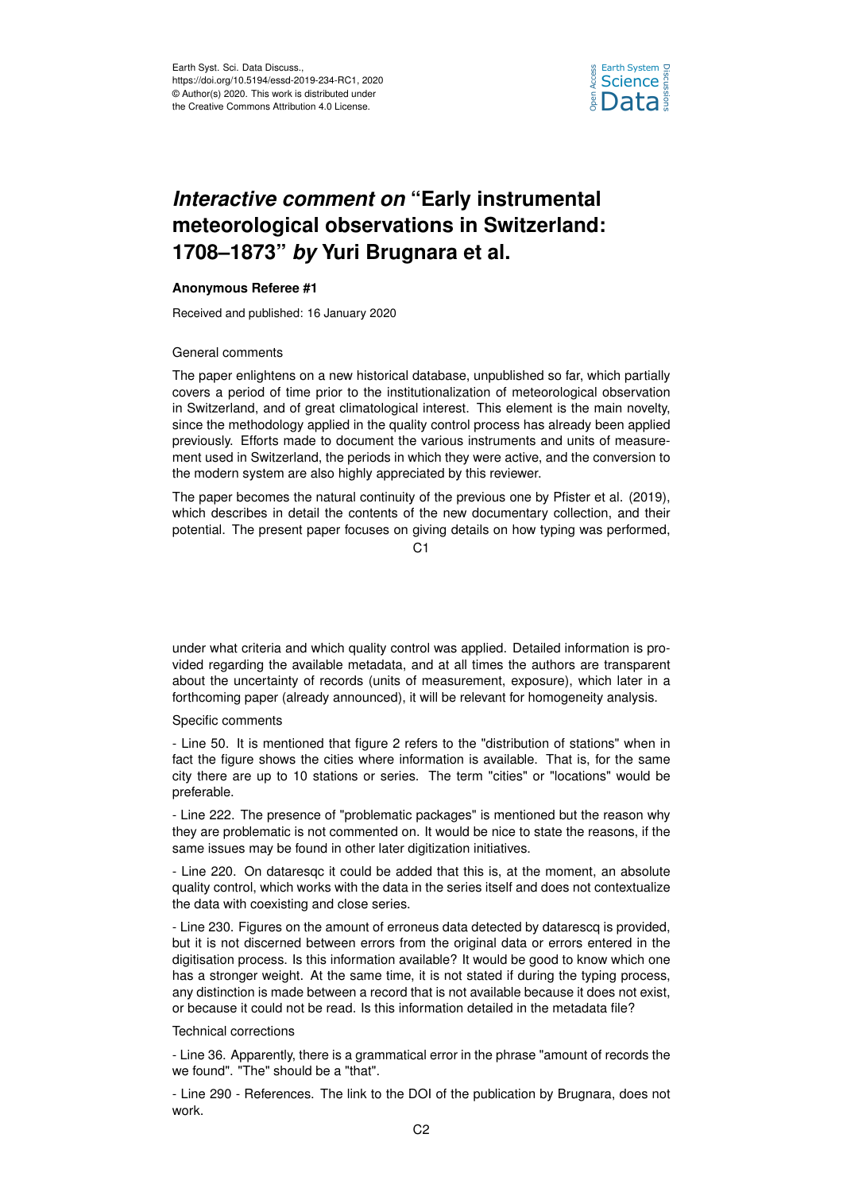

# *Interactive comment on* **"Early instrumental meteorological observations in Switzerland: 1708–1873"** *by* **Yuri Brugnara et al.**

## **Anonymous Referee #1**

Received and published: 16 January 2020

## General comments

The paper enlightens on a new historical database, unpublished so far, which partially covers a period of time prior to the institutionalization of meteorological observation in Switzerland, and of great climatological interest. This element is the main novelty, since the methodology applied in the quality control process has already been applied previously. Efforts made to document the various instruments and units of measurement used in Switzerland, the periods in which they were active, and the conversion to the modern system are also highly appreciated by this reviewer.

The paper becomes the natural continuity of the previous one by Pfister et al. (2019), which describes in detail the contents of the new documentary collection, and their potential. The present paper focuses on giving details on how typing was performed,

 $C<sub>1</sub>$ 

under what criteria and which quality control was applied. Detailed information is provided regarding the available metadata, and at all times the authors are transparent about the uncertainty of records (units of measurement, exposure), which later in a forthcoming paper (already announced), it will be relevant for homogeneity analysis.

### Specific comments

- Line 50. It is mentioned that figure 2 refers to the "distribution of stations" when in fact the figure shows the cities where information is available. That is, for the same city there are up to 10 stations or series. The term "cities" or "locations" would be preferable.

- Line 222. The presence of "problematic packages" is mentioned but the reason why they are problematic is not commented on. It would be nice to state the reasons, if the same issues may be found in other later digitization initiatives.

- Line 220. On dataresqc it could be added that this is, at the moment, an absolute quality control, which works with the data in the series itself and does not contextualize the data with coexisting and close series.

- Line 230. Figures on the amount of erroneus data detected by datarescq is provided, but it is not discerned between errors from the original data or errors entered in the digitisation process. Is this information available? It would be good to know which one has a stronger weight. At the same time, it is not stated if during the typing process, any distinction is made between a record that is not available because it does not exist, or because it could not be read. Is this information detailed in the metadata file?

#### Technical corrections

- Line 36. Apparently, there is a grammatical error in the phrase "amount of records the we found". "The" should be a "that".

- Line 290 - References. The link to the DOI of the publication by Brugnara, does not work.